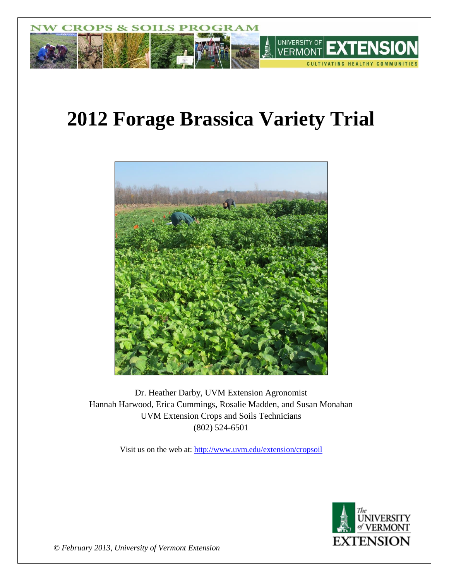

# **2012 Forage Brassica Variety Trial**



Dr. Heather Darby, UVM Extension Agronomist Hannah Harwood, Erica Cummings, Rosalie Madden, and Susan Monahan UVM Extension Crops and Soils Technicians (802) 524-6501

Visit us on the web at:<http://www.uvm.edu/extension/cropsoil>



*© February 2013, University of Vermont Extension*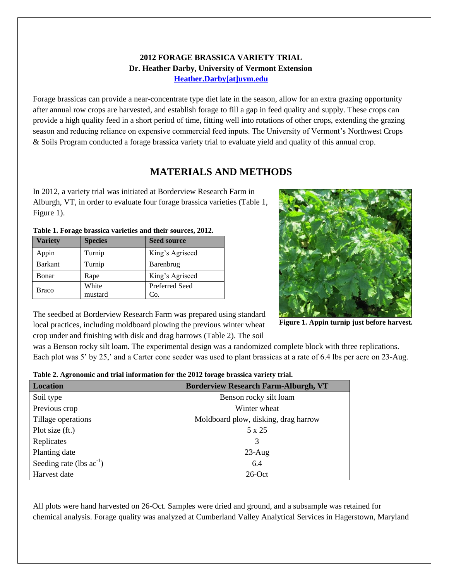### **2012 FORAGE BRASSICA VARIETY TRIAL Dr. Heather Darby, University of Vermont Extension [Heather.Darby\[at\]uvm.edu](mailto:heather.darby@uvm.edu?subject=2012%20Forage%20Brassica%20Report)**

Forage brassicas can provide a near-concentrate type diet late in the season, allow for an extra grazing opportunity after annual row crops are harvested, and establish forage to fill a gap in feed quality and supply. These crops can provide a high quality feed in a short period of time, fitting well into rotations of other crops, extending the grazing season and reducing reliance on expensive commercial feed inputs. The University of Vermont's Northwest Crops & Soils Program conducted a forage brassica variety trial to evaluate yield and quality of this annual crop.

# **MATERIALS AND METHODS**

In 2012, a variety trial was initiated at Borderview Research Farm in Alburgh, VT, in order to evaluate four forage brassica varieties (Table 1, Figure 1).

| <b>Variety</b> | <b>Species</b> | <b>Seed source</b> |  |  |
|----------------|----------------|--------------------|--|--|
| Appin          | Turnip         | King's Agriseed    |  |  |
| <b>Barkant</b> | Turnip         | Barenbrug          |  |  |
| Bonar          | Rape           | King's Agriseed    |  |  |
|                | White          | Preferred Seed     |  |  |
| Braco          | mustard        | Co.                |  |  |

**Table 1. Forage brassica varieties and their sources, 2012.**



The seedbed at Borderview Research Farm was prepared using standard local practices, including moldboard plowing the previous winter wheat crop under and finishing with disk and drag harrows (Table 2). The soil

**Figure 1. Appin turnip just before harvest.**

was a Benson rocky silt loam. The experimental design was a randomized complete block with three replications. Each plot was 5' by 25,' and a Carter cone seeder was used to plant brassicas at a rate of 6.4 lbs per acre on 23-Aug.

| <b>Location</b>               | <b>Borderview Research Farm-Alburgh, VT</b> |
|-------------------------------|---------------------------------------------|
| Soil type                     | Benson rocky silt loam                      |
| Previous crop                 | Winter wheat                                |
| Tillage operations            | Moldboard plow, disking, drag harrow        |
| Plot size (ft.)               | 5 x 25                                      |
| Replicates                    | 3                                           |
| Planting date                 | $23$ -Aug                                   |
| Seeding rate (lbs $ac^{-1}$ ) | 6.4                                         |
| Harvest date                  | $26$ -Oct                                   |

All plots were hand harvested on 26-Oct. Samples were dried and ground, and a subsample was retained for chemical analysis. Forage quality was analyzed at Cumberland Valley Analytical Services in Hagerstown, Maryland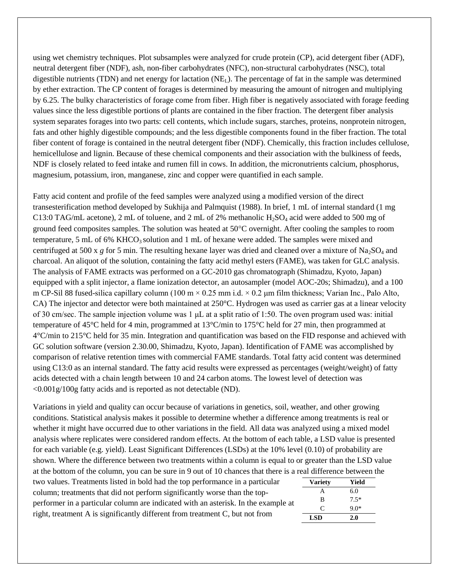using wet chemistry techniques. Plot subsamples were analyzed for crude protein (CP), acid detergent fiber (ADF), neutral detergent fiber (NDF), ash, non-fiber carbohydrates (NFC), non-structural carbohydrates (NSC), total digestible nutrients (TDN) and net energy for lactation ( $NE<sub>L</sub>$ ). The percentage of fat in the sample was determined by ether extraction. The CP content of forages is determined by measuring the amount of nitrogen and multiplying by 6.25. The bulky characteristics of forage come from fiber. High fiber is negatively associated with forage feeding values since the less digestible portions of plants are contained in the fiber fraction. The detergent fiber analysis system separates forages into two parts: cell contents, which include sugars, starches, proteins, nonprotein nitrogen, fats and other highly digestible compounds; and the less digestible components found in the fiber fraction. The total fiber content of forage is contained in the neutral detergent fiber (NDF). Chemically, this fraction includes cellulose, hemicellulose and lignin. Because of these chemical components and their association with the bulkiness of feeds, NDF is closely related to feed intake and rumen fill in cows. In addition, the micronutrients calcium, phosphorus, magnesium, potassium, iron, manganese, zinc and copper were quantified in each sample.

Fatty acid content and profile of the feed samples were analyzed using a modified version of the direct transesterification method developed by Sukhija and Palmquist (1988). In brief, 1 mL of internal standard (1 mg C13:0 TAG/mL acetone), 2 mL of toluene, and 2 mL of 2% methanolic  $H_2SO_4$  acid were added to 500 mg of ground feed composites samples. The solution was heated at 50C overnight. After cooling the samples to room temperature, 5 mL of 6% KHCO<sub>3</sub> solution and 1 mL of hexane were added. The samples were mixed and centrifuged at 500 x  $g$  for 5 min. The resulting hexane layer was dried and cleaned over a mixture of Na<sub>2</sub>SO<sub>4</sub> and charcoal. An aliquot of the solution, containing the fatty acid methyl esters (FAME), was taken for GLC analysis. The analysis of FAME extracts was performed on a GC-2010 gas chromatograph (Shimadzu, Kyoto, Japan) equipped with a split injector, a flame ionization detector, an autosampler (model AOC-20s; Shimadzu), and a 100 m CP-Sil 88 fused-silica capillary column (100 m  $\times$  0.25 mm i.d.  $\times$  0.2 µm film thickness; Varian Inc., Palo Alto, CA) The injector and detector were both maintained at 250°C. Hydrogen was used as carrier gas at a linear velocity of 30 cm/sec. The sample injection volume was 1 μL at a split ratio of 1:50. The oven program used was: initial temperature of 45°C held for 4 min, programmed at 13°C/min to 175°C held for 27 min, then programmed at 4°C/min to 215°C held for 35 min. Integration and quantification was based on the FID response and achieved with GC solution software (version 2.30.00, Shimadzu, Kyoto, Japan). Identification of FAME was accomplished by comparison of relative retention times with commercial FAME standards. Total fatty acid content was determined using C13:0 as an internal standard. The fatty acid results were expressed as percentages (weight/weight) of fatty acids detected with a chain length between 10 and 24 carbon atoms. The lowest level of detection was  $\langle 0.001 \text{g}/100 \text{g}$  fatty acids and is reported as not detectable (ND).

Variations in yield and quality can occur because of variations in genetics, soil, weather, and other growing conditions. Statistical analysis makes it possible to determine whether a difference among treatments is real or whether it might have occurred due to other variations in the field. All data was analyzed using a mixed model analysis where replicates were considered random effects. At the bottom of each table, a LSD value is presented for each variable (e.g. yield). Least Significant Differences (LSDs) at the 10% level (0.10) of probability are shown. Where the difference between two treatments within a column is equal to or greater than the LSD value at the bottom of the column, you can be sure in 9 out of 10 chances that there is a real difference between the two values. Treatments listed in bold had the top performance in a particular column; treatments that did not perform significantly worse than the topperformer in a particular column are indicated with an asterisk. In the example at right, treatment A is significantly different from treatment C, but not from **Variety Yield** A 6.0 B 7.5\*  $C = 9.0*$ **LSD 2.0**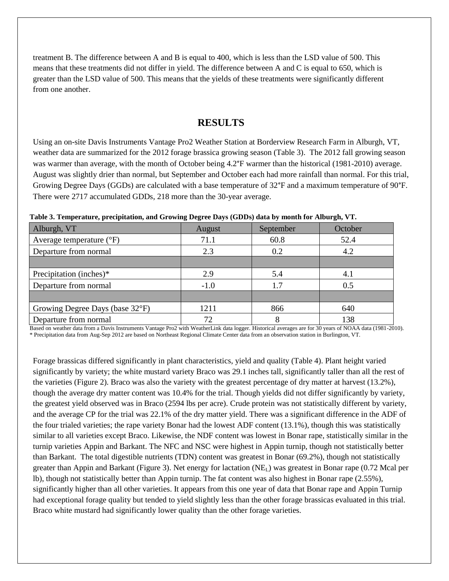treatment B. The difference between A and B is equal to 400, which is less than the LSD value of 500. This means that these treatments did not differ in yield. The difference between A and C is equal to 650, which is greater than the LSD value of 500. This means that the yields of these treatments were significantly different from one another.

### **RESULTS**

Using an on-site Davis Instruments Vantage Pro2 Weather Station at Borderview Research Farm in Alburgh, VT, weather data are summarized for the 2012 forage brassica growing season (Table 3). The 2012 fall growing season was warmer than average, with the month of October being 4.2°F warmer than the historical (1981-2010) average. August was slightly drier than normal, but September and October each had more rainfall than normal. For this trial, Growing Degree Days (GGDs) are calculated with a base temperature of 32°F and a maximum temperature of 90°F. There were 2717 accumulated GDDs, 218 more than the 30-year average.

| Alburgh, VT                       | August | September | October |  |
|-----------------------------------|--------|-----------|---------|--|
| Average temperature $(^{\circ}F)$ | 71.1   | 60.8      | 52.4    |  |
| Departure from normal             | 2.3    | 0.2       | 4.2     |  |
|                                   |        |           |         |  |
| Precipitation (inches)*           | 2.9    | 5.4       | 4.1     |  |
| Departure from normal             | $-1.0$ | 1.7       | 0.5     |  |
|                                   |        |           |         |  |
| Growing Degree Days (base 32°F)   | 1211   | 866       | 640     |  |
| Departure from normal             | 72     |           | 138     |  |

**Table 3. Temperature, precipitation, and Growing Degree Days (GDDs) data by month for Alburgh, VT.**

Based on weather data from a Davis Instruments Vantage Pro2 with WeatherLink data logger. Historical averages are for 30 years of NOAA data (1981-2010). \* Precipitation data from Aug-Sep 2012 are based on Northeast Regional Climate Center data from an observation station in Burlington, VT.

Forage brassicas differed significantly in plant characteristics, yield and quality (Table 4). Plant height varied significantly by variety; the white mustard variety Braco was 29.1 inches tall, significantly taller than all the rest of the varieties (Figure 2). Braco was also the variety with the greatest percentage of dry matter at harvest (13.2%), though the average dry matter content was 10.4% for the trial. Though yields did not differ significantly by variety, the greatest yield observed was in Braco (2594 lbs per acre). Crude protein was not statistically different by variety, and the average CP for the trial was 22.1% of the dry matter yield. There was a significant difference in the ADF of the four trialed varieties; the rape variety Bonar had the lowest ADF content (13.1%), though this was statistically similar to all varieties except Braco. Likewise, the NDF content was lowest in Bonar rape, statistically similar in the turnip varieties Appin and Barkant. The NFC and NSC were highest in Appin turnip, though not statistically better than Barkant. The total digestible nutrients (TDN) content was greatest in Bonar (69.2%), though not statistically greater than Appin and Barkant (Figure 3). Net energy for lactation (NE<sub>L</sub>) was greatest in Bonar rape (0.72 Mcal per lb), though not statistically better than Appin turnip. The fat content was also highest in Bonar rape (2.55%), significantly higher than all other varieties. It appears from this one year of data that Bonar rape and Appin Turnip had exceptional forage quality but tended to yield slightly less than the other forage brassicas evaluated in this trial. Braco white mustard had significantly lower quality than the other forage varieties.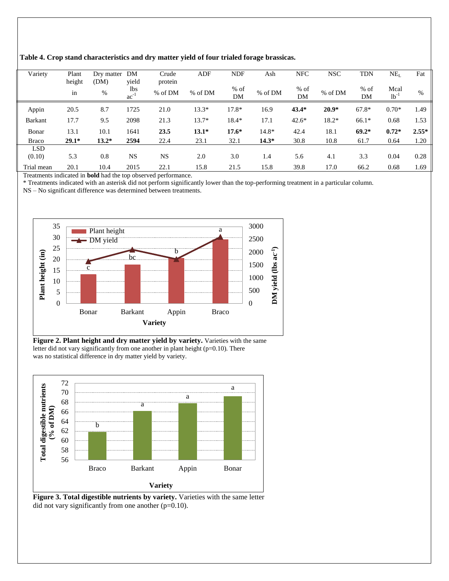| Variety        | Plant   | Dry matter | DM        | Crude     | ADF     | <b>NDF</b> | Ash     | <b>NFC</b> | <b>NSC</b> | <b>TDN</b> | $NE_{L}$  | Fat     |
|----------------|---------|------------|-----------|-----------|---------|------------|---------|------------|------------|------------|-----------|---------|
|                | height  | (DM)       | yield     | protein   |         |            |         |            |            |            |           |         |
|                | in      | $\%$       | lbs       | % of DM   | % of DM | $%$ of     | % of DM | $%$ of     | % of DM    | $%$ of     | Mcal      | $\%$    |
|                |         |            | $ac^{-1}$ |           |         | DM         |         | DM         |            | DM         | $lb^{-1}$ |         |
| Appin          | 20.5    | 8.7        | 1725      | 21.0      | $13.3*$ | 17.8*      | 16.9    | $43.4*$    | $20.9*$    | $67.8*$    | $0.70*$   | 1.49    |
|                |         |            |           |           |         |            |         |            |            |            |           |         |
| <b>Barkant</b> | 17.7    | 9.5        | 2098      | 21.3      | $13.7*$ | 18.4*      | 17.1    | $42.6*$    | 18.2*      | $66.1*$    | 0.68      | 1.53    |
| Bonar          | 13.1    | 10.1       | 1641      | 23.5      | $13.1*$ | $17.6*$    | $14.8*$ | 42.4       | 18.1       | $69.2*$    | $0.72*$   | $2.55*$ |
| <b>Braco</b>   | $29.1*$ | $13.2*$    | 2594      | 22.4      | 23.1    | 32.1       | $14.3*$ | 30.8       | 10.8       | 61.7       | 0.64      | 1.20    |
| <b>LSD</b>     |         |            |           |           |         |            |         |            |            |            |           |         |
| (0.10)         | 5.3     | 0.8        | <b>NS</b> | <b>NS</b> | 2.0     | 3.0        | 1.4     | 5.6        | 4.1        | 3.3        | 0.04      | 0.28    |
| Trial mean     | 20.1    | 10.4       | 2015      | 22.1      | 15.8    | 21.5       | 15.8    | 39.8       | 17.0       | 66.2       | 0.68      | 1.69    |

**Table 4. Crop stand characteristics and dry matter yield of four trialed forage brassicas.**

Treatments indicated in **bold** had the top observed performance.

\* Treatments indicated with an asterisk did not perform significantly lower than the top-performing treatment in a particular column.

NS – No significant difference was determined between treatments.



**Figure 2. Plant height and dry matter yield by variety.** Varieties with the same letter did not vary significantly from one another in plant height (p=0.10). There was no statistical difference in dry matter yield by variety.



Figure 3. Total digestible nutrients by variety. Varieties with the same letter did not vary significantly from one another  $(p=0.10)$ .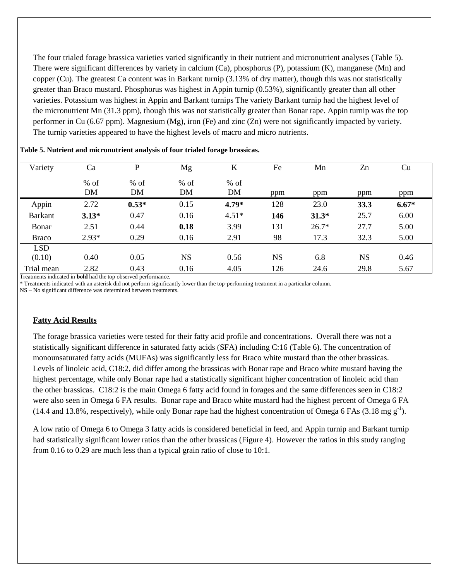The four trialed forage brassica varieties varied significantly in their nutrient and micronutrient analyses (Table 5). There were significant differences by variety in calcium (Ca), phosphorus (P), potassium (K), manganese (Mn) and copper (Cu). The greatest Ca content was in Barkant turnip (3.13% of dry matter), though this was not statistically greater than Braco mustard. Phosphorus was highest in Appin turnip (0.53%), significantly greater than all other varieties. Potassium was highest in Appin and Barkant turnips The variety Barkant turnip had the highest level of the micronutrient Mn (31.3 ppm), though this was not statistically greater than Bonar rape. Appin turnip was the top performer in Cu (6.67 ppm). Magnesium (Mg), iron (Fe) and zinc (Zn) were not significantly impacted by variety. The turnip varieties appeared to have the highest levels of macro and micro nutrients.

| Variety        | Ca        | P       | Mg        | K       | Fe        | Mn      | Zn        | Cu      |
|----------------|-----------|---------|-----------|---------|-----------|---------|-----------|---------|
|                | $%$ of    | $%$ of  | $%$ of    | $%$ of  |           |         |           |         |
|                | <b>DM</b> | DM      | DM        | DM      | ppm       | ppm     | ppm       | ppm     |
| Appin          | 2.72      | $0.53*$ | 0.15      | 4.79*   | 128       | 23.0    | 33.3      | $6.67*$ |
| <b>Barkant</b> | $3.13*$   | 0.47    | 0.16      | $4.51*$ | 146       | $31.3*$ | 25.7      | 6.00    |
| Bonar          | 2.51      | 0.44    | 0.18      | 3.99    | 131       | $26.7*$ | 27.7      | 5.00    |
| <b>Braco</b>   | $2.93*$   | 0.29    | 0.16      | 2.91    | 98        | 17.3    | 32.3      | 5.00    |
| <b>LSD</b>     |           |         |           |         |           |         |           |         |
| (0.10)         | 0.40      | 0.05    | <b>NS</b> | 0.56    | <b>NS</b> | 6.8     | <b>NS</b> | 0.46    |
| Trial mean     | 2.82      | 0.43    | 0.16      | 4.05    | 126       | 24.6    | 29.8      | 5.67    |

Treatments indicated in **bold** had the top observed performance.

\* Treatments indicated with an asterisk did not perform significantly lower than the top-performing treatment in a particular column.

NS – No significant difference was determined between treatments.

#### **Fatty Acid Results**

The forage brassica varieties were tested for their fatty acid profile and concentrations. Overall there was not a statistically significant difference in saturated fatty acids (SFA) including C:16 (Table 6). The concentration of monounsaturated fatty acids (MUFAs) was significantly less for Braco white mustard than the other brassicas. Levels of linoleic acid, C18:2, did differ among the brassicas with Bonar rape and Braco white mustard having the highest percentage, while only Bonar rape had a statistically significant higher concentration of linoleic acid than the other brassicas. C18:2 is the main Omega 6 fatty acid found in forages and the same differences seen in C18:2 were also seen in Omega 6 FA results. Bonar rape and Braco white mustard had the highest percent of Omega 6 FA (14.4 and 13.8%, respectively), while only Bonar rape had the highest concentration of Omega 6 FAs (3.18 mg  $g^{-1}$ ).

A low ratio of Omega 6 to Omega 3 fatty acids is considered beneficial in feed, and Appin turnip and Barkant turnip had statistically significant lower ratios than the other brassicas (Figure 4). However the ratios in this study ranging from 0.16 to 0.29 are much less than a typical grain ratio of close to 10:1.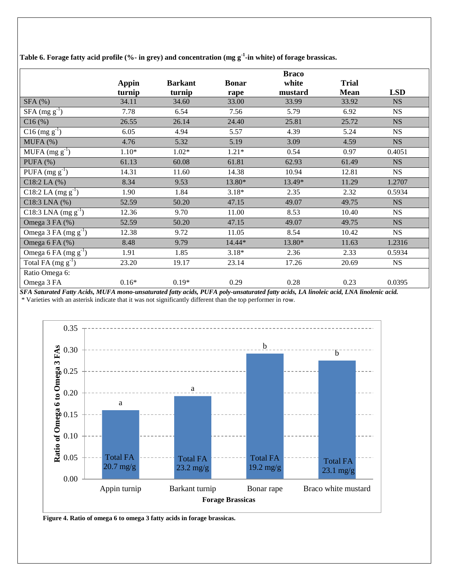| Table 6. Forage fatty acid profile (%- in grey) and concentration (mg g $^1$ -in white) of forage brassicas. |  |  |  |  |  |  |  |
|--------------------------------------------------------------------------------------------------------------|--|--|--|--|--|--|--|
|--------------------------------------------------------------------------------------------------------------|--|--|--|--|--|--|--|

|                           |              |                |              | <b>Braco</b> |              |            |
|---------------------------|--------------|----------------|--------------|--------------|--------------|------------|
|                           | <b>Appin</b> | <b>Barkant</b> | <b>Bonar</b> | white        | <b>Trial</b> |            |
|                           | turnip       | turnip         | rape         | mustard      | <b>Mean</b>  | <b>LSD</b> |
| SFA(%)                    | 34.11        | 34.60          | 33.00        | 33.99        | 33.92        | <b>NS</b>  |
| $SFA \text{ (mg g}^{-1})$ | 7.78         | 6.54           | 7.56         | 5.79         | 6.92         | <b>NS</b>  |
| $C16$ (%)                 | 26.55        | 26.14          | 24.40        | 25.81        | 25.72        | <b>NS</b>  |
| $C16$ (mg $g^{-1}$ )      | 6.05         | 4.94           | 5.57         | 4.39         | 5.24         | <b>NS</b>  |
| MUFA(%)                   | 4.76         | 5.32           | 5.19         | 3.09         | 4.59         | <b>NS</b>  |
| MUFA $(mg g^{-1})$        | $1.10*$      | $1.02*$        | $1.21*$      | 0.54         | 0.97         | 0.4051     |
| $PUFA$ (%)                | 61.13        | 60.08          | 61.81        | 62.93        | 61.49        | <b>NS</b>  |
| PUFA $(mg g-1)$           | 14.31        | 11.60          | 14.38        | 10.94        | 12.81        | <b>NS</b>  |
| $C18:2$ LA $(%)$          | 8.34         | 9.53           | 13.80*       | 13.49*       | 11.29        | 1.2707     |
| C18:2 LA $(mg g^{-1})$    | 1.90         | 1.84           | $3.18*$      | 2.35         | 2.32         | 0.5934     |
| $C18:3$ LNA $(%)$         | 52.59        | 50.20          | 47.15        | 49.07        | 49.75        | NS         |
| C18:3 LNA $(mg g^{-1})$   | 12.36        | 9.70           | 11.00        | 8.53         | 10.40        | <b>NS</b>  |
| Omega 3 FA (%)            | 52.59        | 50.20          | 47.15        | 49.07        | 49.75        | <b>NS</b>  |
| Omega 3 FA $(mg g^{-1})$  | 12.38        | 9.72           | 11.05        | 8.54         | 10.42        | <b>NS</b>  |
| Omega 6 FA (%)            | 8.48         | 9.79           | 14.44*       | 13.80*       | 11.63        | 1.2316     |
| Omega 6 FA $(mg g^{-1})$  | 1.91         | 1.85           | $3.18*$      | 2.36         | 2.33         | 0.5934     |
| Total FA $(mg g^{-1})$    | 23.20        | 19.17          | 23.14        | 17.26        | 20.69        | <b>NS</b>  |
| Ratio Omega 6:            |              |                |              |              |              |            |
| Omega 3 FA                | $0.16*$      | $0.19*$        | 0.29         | 0.28         | 0.23         | 0.0395     |

*SFA Saturated Fatty Acids, MUFA mono-unsaturated fatty acids, PUFA poly-unsaturated fatty acids, LA linoleic acid, LNA linolenic acid.*  \* Varieties with an asterisk indicate that it was not significantly different than the top performer in row.



**Figure 4. Ratio of omega 6 to omega 3 fatty acids in forage brassicas.**